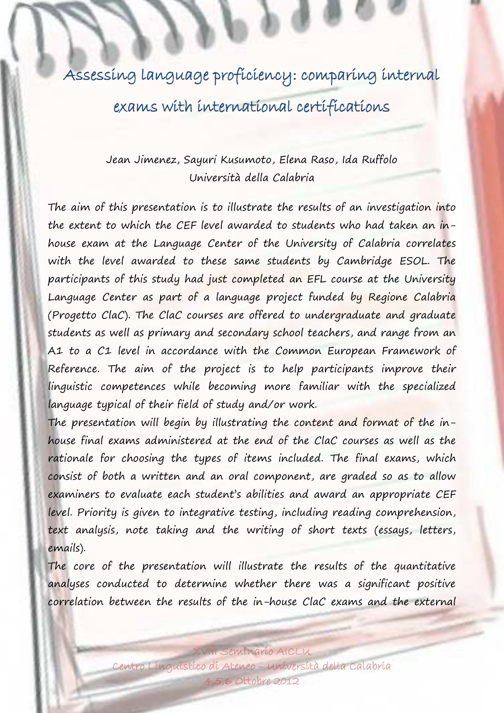Assessing language proficiency: comparing internal exams with international certifications

## Jean Jimenez, Sayuri Kusumoto, Elena Raso, Ida Ruffolo Università della Calabria

The aim of this presentation is to illustrate the results of an investigation into the extent to which the CEF level awarded to students who had taken an inhouse exam at the Language Center of the University of Calabria correlates with the level awarded to these same students by Cambridge ESOL. The participants of this study had just completed an EFL course at the University Language Center as part of a language project funded by Regione Calabria (Progetto ClaC). The ClaC courses are offered to undergraduate and graduate students as well as primary and secondary school teachers, and range from an A1 to a C1 level in accordance with the Common European Framework of Reference. The aim of the project is to help participants improve their linguistic competences while becoming more familiar with the specialized language typical of their field of study and/or work.

The presentation will begin by illustrating the content and format of the inhouse final exams administered at the end of the ClaC courses as well as the rationale for choosing the types of items included. The final exams, which consist of both a written and an oral component, are graded so as to allow examiners to evaluate each student's abilities and award an appropriate CEF level. Priority is given to integrative testing, including reading comprehension, text analysis, note taking and the writing of short texts (essays, letters, emails).

The core of the presentation will illustrate the results of the quantitative analyses conducted to determine whether there was a significant positive correlation between the results of the in-house ClaC exams and the external